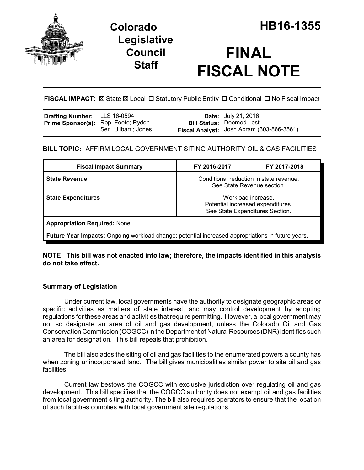

# **Legislative Council Staff**

# **FINAL FISCAL NOTE**

**FISCAL IMPACT:** ⊠ State ⊠ Local □ Statutory Public Entity □ Conditional □ No Fiscal Impact

| <b>Drafting Number:</b> LLS 16-0594        |                      | <b>Date:</b> July 21, 2016                |
|--------------------------------------------|----------------------|-------------------------------------------|
| <b>Prime Sponsor(s):</b> Rep. Foote; Ryden |                      | <b>Bill Status: Deemed Lost</b>           |
|                                            | Sen. Ulibarri; Jones | Fiscal Analyst: Josh Abram (303-866-3561) |

### **BILL TOPIC:** AFFIRM LOCAL GOVERNMENT SITING AUTHORITY OIL & GAS FACILITIES

| <b>Fiscal Impact Summary</b>                                                                      | FY 2016-2017                                                                               | FY 2017-2018 |  |  |
|---------------------------------------------------------------------------------------------------|--------------------------------------------------------------------------------------------|--------------|--|--|
| <b>State Revenue</b>                                                                              | Conditional reduction in state revenue.<br>See State Revenue section.                      |              |  |  |
| <b>State Expenditures</b>                                                                         | Workload increase.<br>Potential increased expenditures.<br>See State Expenditures Section. |              |  |  |
| <b>Appropriation Required: None.</b>                                                              |                                                                                            |              |  |  |
| Future Year Impacts: Ongoing workload change; potential increased appropriations in future years. |                                                                                            |              |  |  |

**NOTE: This bill was not enacted into law; therefore, the impacts identified in this analysis do not take effect.**

### **Summary of Legislation**

Under current law, local governments have the authority to designate geographic areas or specific activities as matters of state interest, and may control development by adopting regulations for these areas and activities that require permitting. However, a local government may not so designate an area of oil and gas development, unless the Colorado Oil and Gas Conservation Commission (COGCC) in the Department of Natural Resources (DNR) identifies such an area for designation. This bill repeals that prohibition.

The bill also adds the siting of oil and gas facilities to the enumerated powers a county has when zoning unincorporated land. The bill gives municipalities similar power to site oil and gas facilities.

Current law bestows the COGCC with exclusive jurisdiction over regulating oil and gas development. This bill specifies that the COGCC authority does not exempt oil and gas facilities from local government siting authority. The bill also requires operators to ensure that the location of such facilities complies with local government site regulations.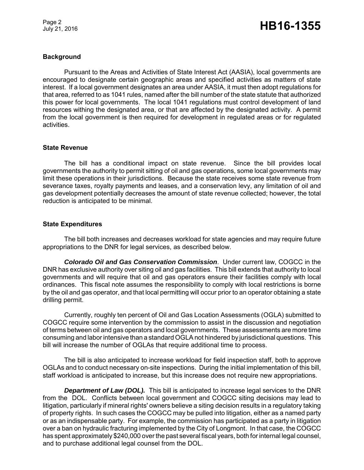Page 2

## Page 2<br>July 21, 2016 **HB16-1355**

#### **Background**

Pursuant to the Areas and Activities of State Interest Act (AASIA), local governments are encouraged to designate certain geographic areas and specified activities as matters of state interest. If a local government designates an area under AASIA, it must then adopt regulations for that area, referred to as 1041 rules, named after the bill number of the state statute that authorized this power for local governments. The local 1041 regulations must control development of land resources withing the designated area, or that are affected by the designated activity. A permit from the local government is then required for development in regulated areas or for regulated activities.

#### **State Revenue**

The bill has a conditional impact on state revenue. Since the bill provides local governments the authority to permit sitting of oil and gas operations, some local governments may limit these operations in their jurisdictions. Because the state receives some state revenue from severance taxes, royalty payments and leases, and a conservation levy, any limitation of oil and gas development potentially decreases the amount of state revenue collected; however, the total reduction is anticipated to be minimal.

#### **State Expenditures**

The bill both increases and decreases workload for state agencies and may require future appropriations to the DNR for legal services, as described below.

*Colorado Oil and Gas Conservation Commission*. Under current law, COGCC in the DNR has exclusive authority over siting oil and gas facilities. This bill extends that authority to local governments and will require that oil and gas operators ensure their facilities comply with local ordinances. This fiscal note assumes the responsibility to comply with local restrictions is borne by the oil and gas operator, and that local permitting will occur prior to an operator obtaining a state drilling permit.

Currently, roughly ten percent of Oil and Gas Location Assessments (OGLA) submitted to COGCC require some intervention by the commission to assist in the discussion and negotiation of terms between oil and gas operators and local governments. These assessments are more time consuming and labor intensive than a standard OGLA not hindered by jurisdictional questions. This bill will increase the number of OGLAs that require additional time to process.

The bill is also anticipated to increase workload for field inspection staff, both to approve OGLAs and to conduct necessary on-site inspections. During the initial implementation of this bill, staff workload is anticipated to increase, but this increase does not require new appropriations.

*Department of Law (DOL).* This bill is anticipated to increase legal services to the DNR from the DOL. Conflicts between local government and COGCC siting decisions may lead to litigation, particularly if mineral rights' owners believe a siting decision results in a regulatory taking of property rights. In such cases the COGCC may be pulled into litigation, either as a named party or as an indispensable party. For example, the commission has participated as a party in litigation over a ban on hydraulic fracturing implemented by the City of Longmont. In that case, the COGCC has spent approximately \$240,000 over the past several fiscal years, both for internal legal counsel, and to purchase additional legal counsel from the DOL.